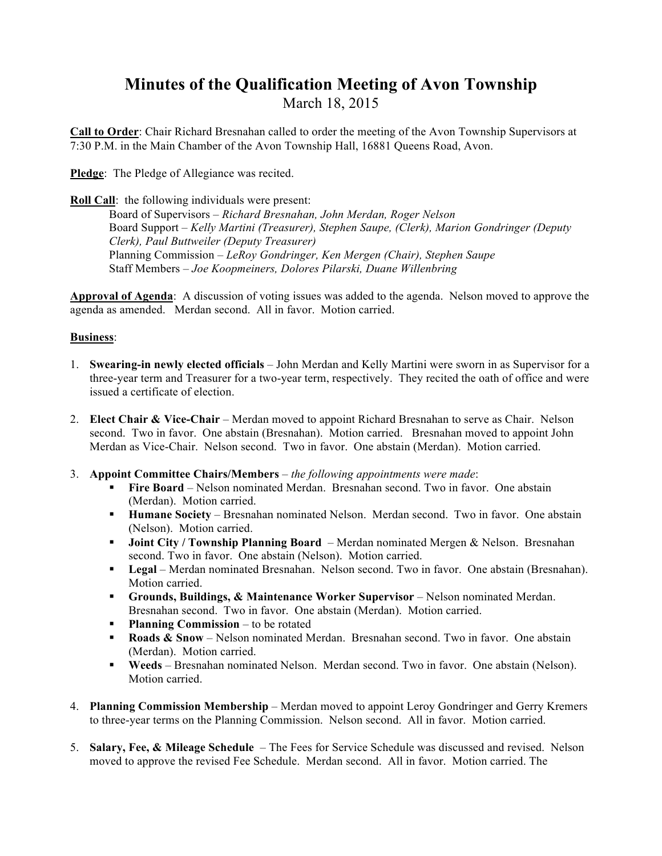## **Minutes of the Qualification Meeting of Avon Township**  March 18, 2015

**Call to Order**: Chair Richard Bresnahan called to order the meeting of the Avon Township Supervisors at 7:30 P.M. in the Main Chamber of the Avon Township Hall, 16881 Queens Road, Avon.

**Pledge**: The Pledge of Allegiance was recited.

**Roll Call**: the following individuals were present:

Board of Supervisors *– Richard Bresnahan, John Merdan, Roger Nelson* Board Support – *Kelly Martini (Treasurer), Stephen Saupe, (Clerk), Marion Gondringer (Deputy Clerk), Paul Buttweiler (Deputy Treasurer)* Planning Commission *– LeRoy Gondringer, Ken Mergen (Chair), Stephen Saupe* Staff Members *– Joe Koopmeiners, Dolores Pilarski, Duane Willenbring*

**Approval of Agenda**: A discussion of voting issues was added to the agenda. Nelson moved to approve the agenda as amended. Merdan second. All in favor. Motion carried.

## **Business**:

- 1. **Swearing-in newly elected officials** John Merdan and Kelly Martini were sworn in as Supervisor for a three-year term and Treasurer for a two-year term, respectively. They recited the oath of office and were issued a certificate of election.
- 2. **Elect Chair & Vice-Chair** Merdan moved to appoint Richard Bresnahan to serve as Chair. Nelson second. Two in favor. One abstain (Bresnahan). Motion carried. Bresnahan moved to appoint John Merdan as Vice-Chair. Nelson second. Two in favor. One abstain (Merdan). Motion carried.
- 3. **Appoint Committee Chairs/Members** *the following appointments were made*:
	- **Fire Board** Nelson nominated Merdan. Bresnahan second. Two in favor. One abstain (Merdan). Motion carried.
	- **Humane Society** Bresnahan nominated Nelson. Merdan second. Two in favor. One abstain (Nelson). Motion carried.
	- **Joint City / Township Planning Board**  Merdan nominated Mergen & Nelson. Bresnahan second. Two in favor. One abstain (Nelson). Motion carried.
	- **Legal** Merdan nominated Bresnahan. Nelson second. Two in favor. One abstain (Bresnahan). Motion carried.
	- **Grounds, Buildings, & Maintenance Worker Supervisor**  Nelson nominated Merdan. Bresnahan second. Two in favor. One abstain (Merdan). Motion carried.
	- **Planning Commission** to be rotated
	- **Roads & Snow** Nelson nominated Merdan. Bresnahan second. Two in favor. One abstain (Merdan). Motion carried.
	- **Weeds** Bresnahan nominated Nelson. Merdan second. Two in favor. One abstain (Nelson). Motion carried.
- 4. **Planning Commission Membership** Merdan moved to appoint Leroy Gondringer and Gerry Kremers to three-year terms on the Planning Commission. Nelson second. All in favor. Motion carried.
- 5. **Salary, Fee, & Mileage Schedule** The Fees for Service Schedule was discussed and revised. Nelson moved to approve the revised Fee Schedule. Merdan second. All in favor. Motion carried. The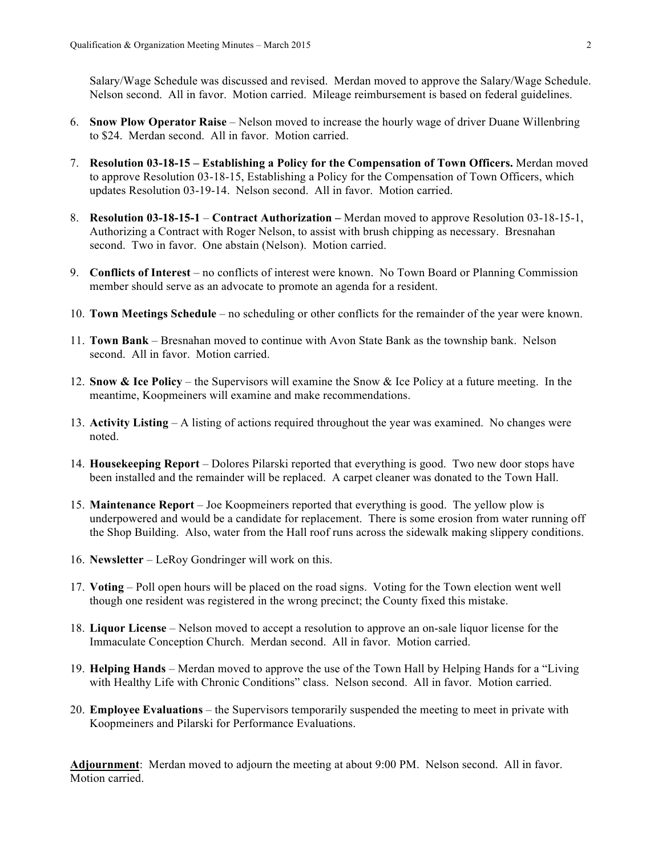Salary/Wage Schedule was discussed and revised. Merdan moved to approve the Salary/Wage Schedule. Nelson second. All in favor. Motion carried. Mileage reimbursement is based on federal guidelines.

- 6. **Snow Plow Operator Raise** Nelson moved to increase the hourly wage of driver Duane Willenbring to \$24. Merdan second. All in favor. Motion carried.
- 7. **Resolution 03-18-15 Establishing a Policy for the Compensation of Town Officers.** Merdan moved to approve Resolution 03-18-15, Establishing a Policy for the Compensation of Town Officers, which updates Resolution 03-19-14. Nelson second. All in favor. Motion carried.
- 8. **Resolution 03-18-15-1 Contract Authorization –** Merdan moved to approve Resolution 03-18-15-1, Authorizing a Contract with Roger Nelson, to assist with brush chipping as necessary. Bresnahan second. Two in favor. One abstain (Nelson). Motion carried.
- 9. **Conflicts of Interest** no conflicts of interest were known. No Town Board or Planning Commission member should serve as an advocate to promote an agenda for a resident.
- 10. **Town Meetings Schedule** no scheduling or other conflicts for the remainder of the year were known.
- 11. **Town Bank** Bresnahan moved to continue with Avon State Bank as the township bank. Nelson second. All in favor. Motion carried.
- 12. **Snow & Ice Policy** the Supervisors will examine the Snow & Ice Policy at a future meeting. In the meantime, Koopmeiners will examine and make recommendations.
- 13. **Activity Listing** A listing of actions required throughout the year was examined. No changes were noted.
- 14. **Housekeeping Report** Dolores Pilarski reported that everything is good. Two new door stops have been installed and the remainder will be replaced. A carpet cleaner was donated to the Town Hall.
- 15. **Maintenance Report** Joe Koopmeiners reported that everything is good. The yellow plow is underpowered and would be a candidate for replacement. There is some erosion from water running off the Shop Building. Also, water from the Hall roof runs across the sidewalk making slippery conditions.
- 16. **Newsletter**  LeRoy Gondringer will work on this.
- 17. **Voting**  Poll open hours will be placed on the road signs.Voting for the Town election went well though one resident was registered in the wrong precinct; the County fixed this mistake.
- 18. **Liquor License** Nelson moved to accept a resolution to approve an on-sale liquor license for the Immaculate Conception Church. Merdan second. All in favor. Motion carried.
- 19. **Helping Hands**  Merdan moved to approve the use of the Town Hall by Helping Hands for a "Living with Healthy Life with Chronic Conditions" class. Nelson second. All in favor. Motion carried.
- 20. **Employee Evaluations** the Supervisors temporarily suspended the meeting to meet in private with Koopmeiners and Pilarski for Performance Evaluations.

**Adjournment**: Merdan moved to adjourn the meeting at about 9:00 PM. Nelson second. All in favor. Motion carried.